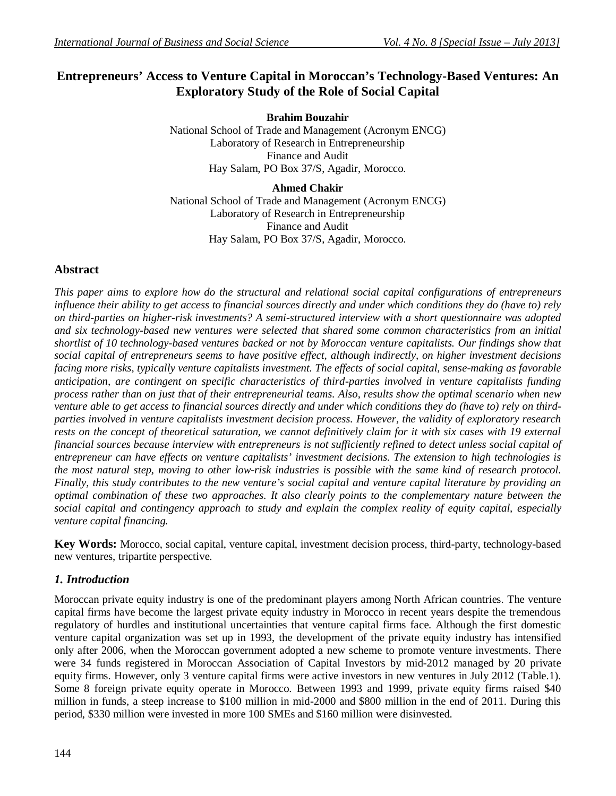# **Entrepreneurs' Access to Venture Capital in Moroccan's Technology-Based Ventures: An Exploratory Study of the Role of Social Capital**

**Brahim Bouzahir** National School of Trade and Management (Acronym ENCG) Laboratory of Research in Entrepreneurship Finance and Audit Hay Salam, PO Box 37/S, Agadir, Morocco.

**Ahmed Chakir** National School of Trade and Management (Acronym ENCG) Laboratory of Research in Entrepreneurship Finance and Audit Hay Salam, PO Box 37/S, Agadir, Morocco.

## **Abstract**

*This paper aims to explore how do the structural and relational social capital configurations of entrepreneurs influence their ability to get access to financial sources directly and under which conditions they do (have to) rely on third-parties on higher-risk investments? A semi-structured interview with a short questionnaire was adopted and six technology-based new ventures were selected that shared some common characteristics from an initial shortlist of 10 technology-based ventures backed or not by Moroccan venture capitalists. Our findings show that social capital of entrepreneurs seems to have positive effect, although indirectly, on higher investment decisions facing more risks, typically venture capitalists investment. The effects of social capital, sense-making as favorable anticipation, are contingent on specific characteristics of third-parties involved in venture capitalists funding process rather than on just that of their entrepreneurial teams. Also, results show the optimal scenario when new venture able to get access to financial sources directly and under which conditions they do (have to) rely on thirdparties involved in venture capitalists investment decision process. However, the validity of exploratory research*  rests on the concept of theoretical saturation, we cannot definitively claim for it with six cases with 19 external *financial sources because interview with entrepreneurs is not sufficiently refined to detect unless social capital of entrepreneur can have effects on venture capitalists' investment decisions. The extension to high technologies is the most natural step, moving to other low-risk industries is possible with the same kind of research protocol. Finally, this study contributes to the new venture's social capital and venture capital literature by providing an optimal combination of these two approaches. It also clearly points to the complementary nature between the social capital and contingency approach to study and explain the complex reality of equity capital, especially venture capital financing.*

**Key Words:** Morocco, social capital, venture capital, investment decision process, third-party, technology-based new ventures, tripartite perspective.

## *1. Introduction*

Moroccan private equity industry is one of the predominant players among North African countries. The venture capital firms have become the largest private equity industry in Morocco in recent years despite the tremendous regulatory of hurdles and institutional uncertainties that venture capital firms face. Although the first domestic venture capital organization was set up in 1993, the development of the private equity industry has intensified only after 2006, when the Moroccan government adopted a new scheme to promote venture investments. There were 34 funds registered in Moroccan Association of Capital Investors by mid-2012 managed by 20 private equity firms. However, only 3 venture capital firms were active investors in new ventures in July 2012 (Table.1). Some 8 foreign private equity operate in Morocco. Between 1993 and 1999, private equity firms raised \$40 million in funds, a steep increase to \$100 million in mid-2000 and \$800 million in the end of 2011. During this period, \$330 million were invested in more 100 SMEs and \$160 million were disinvested.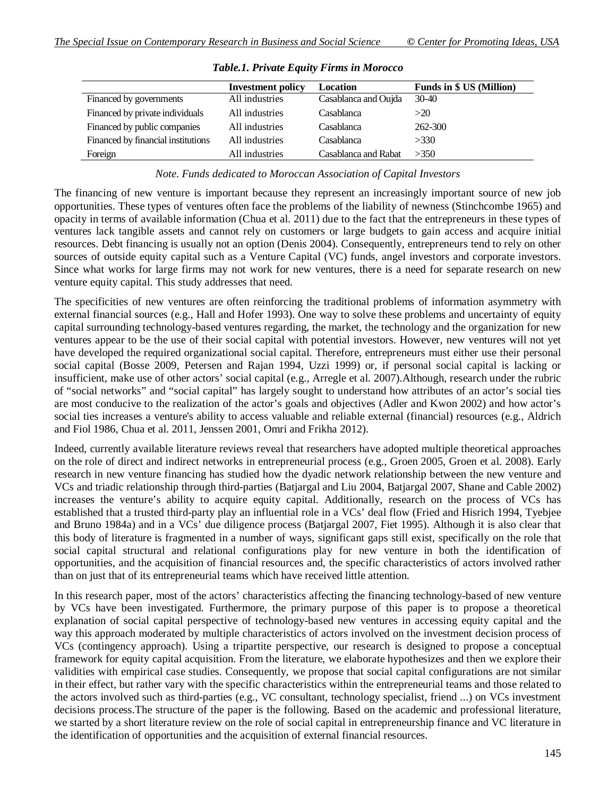|                                    | <b>Investment policy</b> | Location             | <b>Funds in \$ US (Million)</b> |
|------------------------------------|--------------------------|----------------------|---------------------------------|
| Financed by governments            | All industries           | Casablanca and Oujda | 30-40                           |
| Financed by private individuals    | All industries           | Casablanca           | >20                             |
| Financed by public companies       | All industries           | Casablanca           | 262-300                         |
| Financed by financial institutions | All industries           | Casablanca           | >330                            |
| Foreign                            | All industries           | Casablanca and Rabat | >350                            |

## *Table.1. Private Equity Firms in Morocco*

*Note. Funds dedicated to Moroccan Association of Capital Investors*

The financing of new venture is important because they represent an increasingly important source of new job opportunities. These types of ventures often face the problems of the liability of newness (Stinchcombe 1965) and opacity in terms of available information (Chua et al. 2011) due to the fact that the entrepreneurs in these types of ventures lack tangible assets and cannot rely on customers or large budgets to gain access and acquire initial resources. Debt financing is usually not an option (Denis 2004). Consequently, entrepreneurs tend to rely on other sources of outside equity capital such as a Venture Capital (VC) funds, angel investors and corporate investors. Since what works for large firms may not work for new ventures, there is a need for separate research on new venture equity capital. This study addresses that need.

The specificities of new ventures are often reinforcing the traditional problems of information asymmetry with external financial sources (e.g., Hall and Hofer 1993). One way to solve these problems and uncertainty of equity capital surrounding technology-based ventures regarding, the market, the technology and the organization for new ventures appear to be the use of their social capital with potential investors. However, new ventures will not yet have developed the required organizational social capital. Therefore, entrepreneurs must either use their personal social capital (Bosse 2009, Petersen and Rajan 1994, Uzzi 1999) or, if personal social capital is lacking or insufficient, make use of other actors' social capital (e.g., Arregle et al. 2007).Although, research under the rubric of "social networks" and "social capital" has largely sought to understand how attributes of an actor's social ties are most conducive to the realization of the actor's goals and objectives (Adler and Kwon 2002) and how actor's social ties increases a venture's ability to access valuable and reliable external (financial) resources (e.g., Aldrich and Fiol 1986, Chua et al. 2011, Jenssen 2001, Omri and Frikha 2012).

Indeed, currently available literature reviews reveal that researchers have adopted multiple theoretical approaches on the role of direct and indirect networks in entrepreneurial process (e.g., Groen 2005, Groen et al. 2008). Early research in new venture financing has studied how the dyadic network relationship between the new venture and VCs and triadic relationship through third-parties (Batjargal and Liu 2004, Batjargal 2007, Shane and Cable 2002) increases the venture's ability to acquire equity capital. Additionally, research on the process of VCs has established that a trusted third-party play an influential role in a VCs' deal flow (Fried and Hisrich 1994, Tyebjee and Bruno 1984a) and in a VCs' due diligence process (Batjargal 2007, Fiet 1995). Although it is also clear that this body of literature is fragmented in a number of ways, significant gaps still exist, specifically on the role that social capital structural and relational configurations play for new venture in both the identification of opportunities, and the acquisition of financial resources and, the specific characteristics of actors involved rather than on just that of its entrepreneurial teams which have received little attention.

In this research paper, most of the actors' characteristics affecting the financing technology-based of new venture by VCs have been investigated. Furthermore, the primary purpose of this paper is to propose a theoretical explanation of social capital perspective of technology-based new ventures in accessing equity capital and the way this approach moderated by multiple characteristics of actors involved on the investment decision process of VCs (contingency approach). Using a tripartite perspective, our research is designed to propose a conceptual framework for equity capital acquisition. From the literature, we elaborate hypothesizes and then we explore their validities with empirical case studies. Consequently, we propose that social capital configurations are not similar in their effect, but rather vary with the specific characteristics within the entrepreneurial teams and those related to the actors involved such as third-parties (e.g., VC consultant, technology specialist, friend ...) on VCs investment decisions process.The structure of the paper is the following. Based on the academic and professional literature, we started by a short literature review on the role of social capital in entrepreneurship finance and VC literature in the identification of opportunities and the acquisition of external financial resources.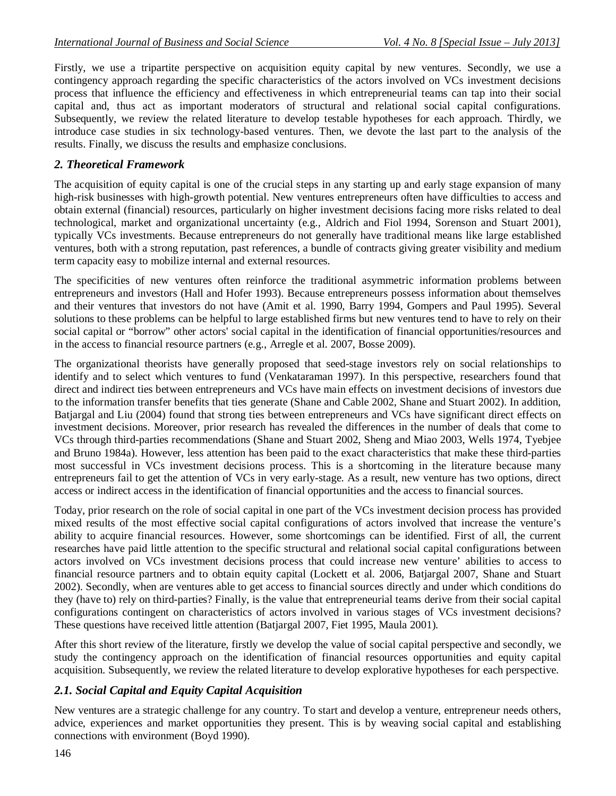Firstly, we use a tripartite perspective on acquisition equity capital by new ventures. Secondly, we use a contingency approach regarding the specific characteristics of the actors involved on VCs investment decisions process that influence the efficiency and effectiveness in which entrepreneurial teams can tap into their social capital and, thus act as important moderators of structural and relational social capital configurations. Subsequently, we review the related literature to develop testable hypotheses for each approach. Thirdly, we introduce case studies in six technology-based ventures. Then, we devote the last part to the analysis of the results. Finally, we discuss the results and emphasize conclusions.

## *2. Theoretical Framework*

The acquisition of equity capital is one of the crucial steps in any starting up and early stage expansion of many high-risk businesses with high-growth potential. New ventures entrepreneurs often have difficulties to access and obtain external (financial) resources, particularly on higher investment decisions facing more risks related to deal technological, market and organizational uncertainty (e.g., Aldrich and Fiol 1994, Sorenson and Stuart 2001), typically VCs investments. Because entrepreneurs do not generally have traditional means like large established ventures, both with a strong reputation, past references, a bundle of contracts giving greater visibility and medium term capacity easy to mobilize internal and external resources.

The specificities of new ventures often reinforce the traditional asymmetric information problems between entrepreneurs and investors (Hall and Hofer 1993). Because entrepreneurs possess information about themselves and their ventures that investors do not have (Amit et al. 1990, Barry 1994, Gompers and Paul 1995). Several solutions to these problems can be helpful to large established firms but new ventures tend to have to rely on their social capital or "borrow" other actors' social capital in the identification of financial opportunities/resources and in the access to financial resource partners (e.g., Arregle et al. 2007, Bosse 2009).

The organizational theorists have generally proposed that seed-stage investors rely on social relationships to identify and to select which ventures to fund (Venkataraman 1997). In this perspective, researchers found that direct and indirect ties between entrepreneurs and VCs have main effects on investment decisions of investors due to the information transfer benefits that ties generate (Shane and Cable 2002, Shane and Stuart 2002). In addition, Batjargal and Liu (2004) found that strong ties between entrepreneurs and VCs have significant direct effects on investment decisions. Moreover, prior research has revealed the differences in the number of deals that come to VCs through third-parties recommendations (Shane and Stuart 2002, Sheng and Miao 2003, Wells 1974, Tyebjee and Bruno 1984a). However, less attention has been paid to the exact characteristics that make these third-parties most successful in VCs investment decisions process. This is a shortcoming in the literature because many entrepreneurs fail to get the attention of VCs in very early-stage. As a result, new venture has two options, direct access or indirect access in the identification of financial opportunities and the access to financial sources.

Today, prior research on the role of social capital in one part of the VCs investment decision process has provided mixed results of the most effective social capital configurations of actors involved that increase the venture's ability to acquire financial resources. However, some shortcomings can be identified. First of all, the current researches have paid little attention to the specific structural and relational social capital configurations between actors involved on VCs investment decisions process that could increase new venture' abilities to access to financial resource partners and to obtain equity capital (Lockett et al. 2006, Batjargal 2007, Shane and Stuart 2002). Secondly, when are ventures able to get access to financial sources directly and under which conditions do they (have to) rely on third-parties? Finally, is the value that entrepreneurial teams derive from their social capital configurations contingent on characteristics of actors involved in various stages of VCs investment decisions? These questions have received little attention (Batjargal 2007, Fiet 1995, Maula 2001).

After this short review of the literature, firstly we develop the value of social capital perspective and secondly, we study the contingency approach on the identification of financial resources opportunities and equity capital acquisition. Subsequently, we review the related literature to develop explorative hypotheses for each perspective.

## *2.1. Social Capital and Equity Capital Acquisition*

New ventures are a strategic challenge for any country. To start and develop a venture, entrepreneur needs others, advice, experiences and market opportunities they present. This is by weaving social capital and establishing connections with environment (Boyd 1990).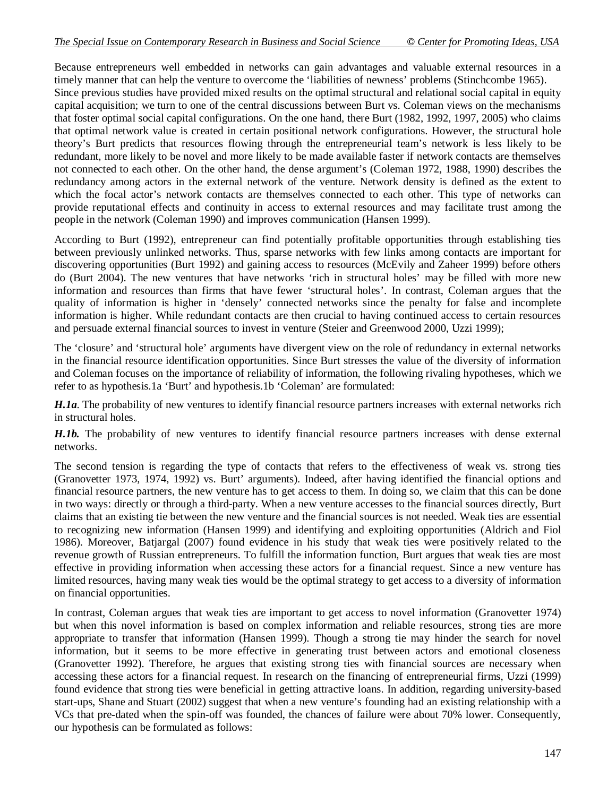Because entrepreneurs well embedded in networks can gain advantages and valuable external resources in a timely manner that can help the venture to overcome the 'liabilities of newness' problems (Stinchcombe 1965). Since previous studies have provided mixed results on the optimal structural and relational social capital in equity capital acquisition; we turn to one of the central discussions between Burt vs. Coleman views on the mechanisms that foster optimal social capital configurations. On the one hand, there Burt (1982, 1992, 1997, 2005) who claims that optimal network value is created in certain positional network configurations. However, the structural hole theory's Burt predicts that resources flowing through the entrepreneurial team's network is less likely to be redundant, more likely to be novel and more likely to be made available faster if network contacts are themselves not connected to each other. On the other hand, the dense argument's (Coleman 1972, 1988, 1990) describes the redundancy among actors in the external network of the venture. Network density is defined as the extent to which the focal actor's network contacts are themselves connected to each other. This type of networks can provide reputational effects and continuity in access to external resources and may facilitate trust among the people in the network (Coleman 1990) and improves communication (Hansen 1999).

According to Burt (1992), entrepreneur can find potentially profitable opportunities through establishing ties between previously unlinked networks. Thus, sparse networks with few links among contacts are important for discovering opportunities (Burt 1992) and gaining access to resources (McEvily and Zaheer 1999) before others do (Burt 2004). The new ventures that have networks 'rich in structural holes' may be filled with more new information and resources than firms that have fewer 'structural holes'. In contrast, Coleman argues that the quality of information is higher in 'densely' connected networks since the penalty for false and incomplete information is higher. While redundant contacts are then crucial to having continued access to certain resources and persuade external financial sources to invest in venture (Steier and Greenwood 2000, Uzzi 1999);

The 'closure' and 'structural hole' arguments have divergent view on the role of redundancy in external networks in the financial resource identification opportunities. Since Burt stresses the value of the diversity of information and Coleman focuses on the importance of reliability of information, the following rivaling hypotheses, which we refer to as hypothesis.1a 'Burt' and hypothesis.1b 'Coleman' are formulated:

*H.1a*. The probability of new ventures to identify financial resource partners increases with external networks rich in structural holes.

*H.1b.* The probability of new ventures to identify financial resource partners increases with dense external networks.

The second tension is regarding the type of contacts that refers to the effectiveness of weak vs. strong ties (Granovetter 1973, 1974, 1992) vs. Burt' arguments). Indeed, after having identified the financial options and financial resource partners, the new venture has to get access to them. In doing so, we claim that this can be done in two ways: directly or through a third-party. When a new venture accesses to the financial sources directly, Burt claims that an existing tie between the new venture and the financial sources is not needed. Weak ties are essential to recognizing new information (Hansen 1999) and identifying and exploiting opportunities (Aldrich and Fiol 1986). Moreover, Batjargal (2007) found evidence in his study that weak ties were positively related to the revenue growth of Russian entrepreneurs. To fulfill the information function, Burt argues that weak ties are most effective in providing information when accessing these actors for a financial request. Since a new venture has limited resources, having many weak ties would be the optimal strategy to get access to a diversity of information on financial opportunities.

In contrast, Coleman argues that weak ties are important to get access to novel information (Granovetter 1974) but when this novel information is based on complex information and reliable resources, strong ties are more appropriate to transfer that information (Hansen 1999). Though a strong tie may hinder the search for novel information, but it seems to be more effective in generating trust between actors and emotional closeness (Granovetter 1992). Therefore, he argues that existing strong ties with financial sources are necessary when accessing these actors for a financial request. In research on the financing of entrepreneurial firms, Uzzi (1999) found evidence that strong ties were beneficial in getting attractive loans. In addition, regarding university-based start-ups, Shane and Stuart (2002) suggest that when a new venture's founding had an existing relationship with a VCs that pre-dated when the spin-off was founded, the chances of failure were about 70% lower. Consequently, our hypothesis can be formulated as follows: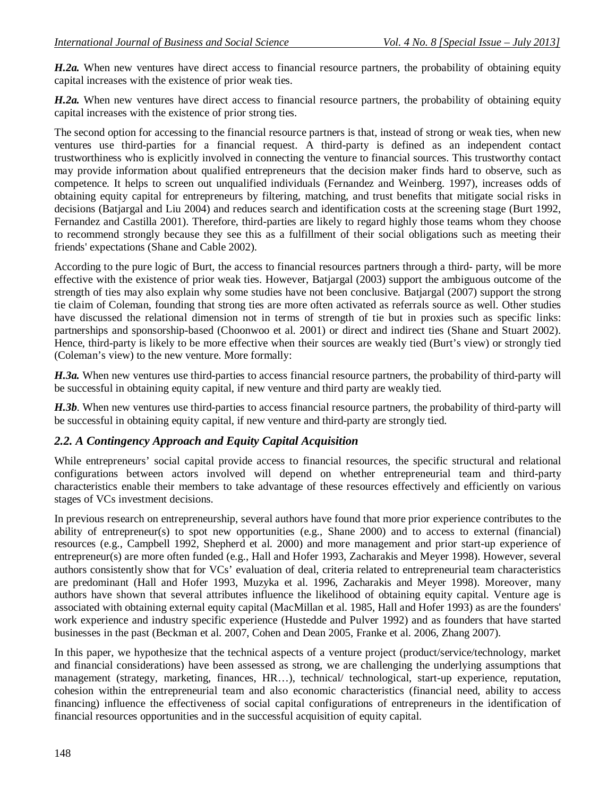*H.2a.* When new ventures have direct access to financial resource partners, the probability of obtaining equity capital increases with the existence of prior weak ties.

*H.2a.* When new ventures have direct access to financial resource partners, the probability of obtaining equity capital increases with the existence of prior strong ties.

The second option for accessing to the financial resource partners is that, instead of strong or weak ties, when new ventures use third-parties for a financial request. A third-party is defined as an independent contact trustworthiness who is explicitly involved in connecting the venture to financial sources. This trustworthy contact may provide information about qualified entrepreneurs that the decision maker finds hard to observe, such as competence. It helps to screen out unqualified individuals (Fernandez and Weinberg. 1997), increases odds of obtaining equity capital for entrepreneurs by filtering, matching, and trust benefits that mitigate social risks in decisions (Batjargal and Liu 2004) and reduces search and identification costs at the screening stage (Burt 1992, Fernandez and Castilla 2001). Therefore, third-parties are likely to regard highly those teams whom they choose to recommend strongly because they see this as a fulfillment of their social obligations such as meeting their friends' expectations (Shane and Cable 2002).

According to the pure logic of Burt, the access to financial resources partners through a third- party, will be more effective with the existence of prior weak ties. However, Batjargal (2003) support the ambiguous outcome of the strength of ties may also explain why some studies have not been conclusive. Batjargal (2007) support the strong tie claim of Coleman, founding that strong ties are more often activated as referrals source as well. Other studies have discussed the relational dimension not in terms of strength of tie but in proxies such as specific links: partnerships and sponsorship-based (Choonwoo et al. 2001) or direct and indirect ties (Shane and Stuart 2002). Hence, third-party is likely to be more effective when their sources are weakly tied (Burt's view) or strongly tied (Coleman's view) to the new venture. More formally:

*H.3a.* When new ventures use third-parties to access financial resource partners, the probability of third-party will be successful in obtaining equity capital, if new venture and third party are weakly tied.

*H.3b*. When new ventures use third-parties to access financial resource partners, the probability of third-party will be successful in obtaining equity capital, if new venture and third-party are strongly tied.

### *2.2. A Contingency Approach and Equity Capital Acquisition*

While entrepreneurs' social capital provide access to financial resources, the specific structural and relational configurations between actors involved will depend on whether entrepreneurial team and third-party characteristics enable their members to take advantage of these resources effectively and efficiently on various stages of VCs investment decisions.

In previous research on entrepreneurship, several authors have found that more prior experience contributes to the ability of entrepreneur(s) to spot new opportunities (e.g., Shane 2000) and to access to external (financial) resources (e.g., Campbell 1992, Shepherd et al. 2000) and more management and prior start-up experience of entrepreneur(s) are more often funded (e.g., Hall and Hofer 1993, Zacharakis and Meyer 1998). However, several authors consistently show that for VCs' evaluation of deal, criteria related to entrepreneurial team characteristics are predominant (Hall and Hofer 1993, Muzyka et al. 1996, Zacharakis and Meyer 1998). Moreover, many authors have shown that several attributes influence the likelihood of obtaining equity capital. Venture age is associated with obtaining external equity capital (MacMillan et al. 1985, Hall and Hofer 1993) as are the founders' work experience and industry specific experience (Hustedde and Pulver 1992) and as founders that have started businesses in the past (Beckman et al. 2007, Cohen and Dean 2005, Franke et al. 2006, Zhang 2007).

In this paper, we hypothesize that the technical aspects of a venture project (product/service/technology, market and financial considerations) have been assessed as strong, we are challenging the underlying assumptions that management (strategy, marketing, finances, HR...), technical/ technological, start-up experience, reputation, cohesion within the entrepreneurial team and also economic characteristics (financial need, ability to access financing) influence the effectiveness of social capital configurations of entrepreneurs in the identification of financial resources opportunities and in the successful acquisition of equity capital.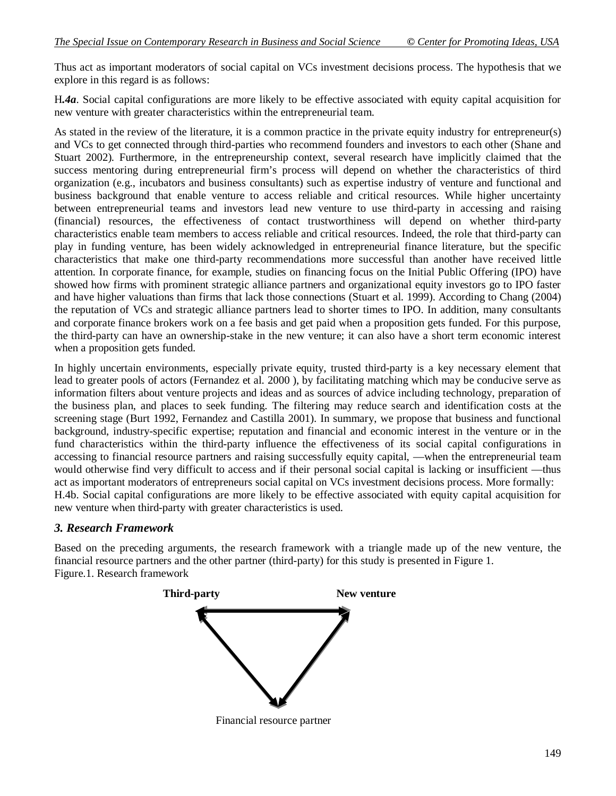Thus act as important moderators of social capital on VCs investment decisions process. The hypothesis that we explore in this regard is as follows:

H*.4a*. Social capital configurations are more likely to be effective associated with equity capital acquisition for new venture with greater characteristics within the entrepreneurial team.

As stated in the review of the literature, it is a common practice in the private equity industry for entrepreneur(s) and VCs to get connected through third-parties who recommend founders and investors to each other (Shane and Stuart 2002). Furthermore, in the entrepreneurship context, several research have implicitly claimed that the success mentoring during entrepreneurial firm's process will depend on whether the characteristics of third organization (e.g., incubators and business consultants) such as expertise industry of venture and functional and business background that enable venture to access reliable and critical resources. While higher uncertainty between entrepreneurial teams and investors lead new venture to use third-party in accessing and raising (financial) resources, the effectiveness of contact trustworthiness will depend on whether third-party characteristics enable team members to access reliable and critical resources. Indeed, the role that third-party can play in funding venture, has been widely acknowledged in entrepreneurial finance literature, but the specific characteristics that make one third-party recommendations more successful than another have received little attention. In corporate finance, for example, studies on financing focus on the Initial Public Offering (IPO) have showed how firms with prominent strategic alliance partners and organizational equity investors go to IPO faster and have higher valuations than firms that lack those connections (Stuart et al. 1999). According to Chang (2004) the reputation of VCs and strategic alliance partners lead to shorter times to IPO. In addition, many consultants and corporate finance brokers work on a fee basis and get paid when a proposition gets funded. For this purpose, the third-party can have an ownership-stake in the new venture; it can also have a short term economic interest when a proposition gets funded.

In highly uncertain environments, especially private equity, trusted third-party is a key necessary element that lead to greater pools of actors (Fernandez et al. 2000 ), by facilitating matching which may be conducive serve as information filters about venture projects and ideas and as sources of advice including technology, preparation of the business plan, and places to seek funding. The filtering may reduce search and identification costs at the screening stage (Burt 1992, Fernandez and Castilla 2001). In summary, we propose that business and functional background, industry-specific expertise; reputation and financial and economic interest in the venture or in the fund characteristics within the third-party influence the effectiveness of its social capital configurations in accessing to financial resource partners and raising successfully equity capital, —when the entrepreneurial team would otherwise find very difficult to access and if their personal social capital is lacking or insufficient —thus act as important moderators of entrepreneurs social capital on VCs investment decisions process. More formally: H.4b. Social capital configurations are more likely to be effective associated with equity capital acquisition for new venture when third-party with greater characteristics is used.

## *3. Research Framework*

Based on the preceding arguments, the research framework with a triangle made up of the new venture, the financial resource partners and the other partner (third-party) for this study is presented in Figure 1. Figure.1. Research framework

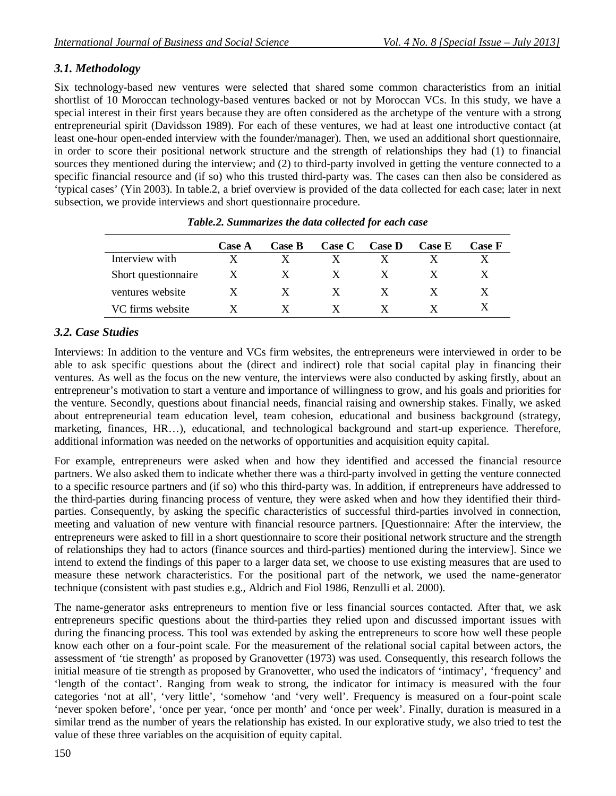## *3.1. Methodology*

Six technology-based new ventures were selected that shared some common characteristics from an initial shortlist of 10 Moroccan technology-based ventures backed or not by Moroccan VCs. In this study, we have a special interest in their first years because they are often considered as the archetype of the venture with a strong entrepreneurial spirit (Davidsson 1989). For each of these ventures, we had at least one introductive contact (at least one-hour open-ended interview with the founder/manager). Then, we used an additional short questionnaire, in order to score their positional network structure and the strength of relationships they had (1) to financial sources they mentioned during the interview; and (2) to third-party involved in getting the venture connected to a specific financial resource and (if so) who this trusted third-party was. The cases can then also be considered as 'typical cases' (Yin 2003). In table.2, a brief overview is provided of the data collected for each case; later in next subsection, we provide interviews and short questionnaire procedure.

|                     | <b>Case A</b> | <b>Case B</b> | <b>Case C</b> | <b>Case D</b> | <b>Case E</b> | <b>Case F</b> |
|---------------------|---------------|---------------|---------------|---------------|---------------|---------------|
| Interview with      |               |               |               |               |               |               |
| Short questionnaire | $\mathbf{X}$  | X             | $\mathbf{X}$  | $\mathbf{X}$  |               |               |
| ventures website    |               | X             | $\mathbf{X}$  | $\mathbf{X}$  |               |               |
| VC firms website    |               |               |               |               |               |               |

*Table.2. Summarizes the data collected for each case*

## *3.2. Case Studies*

Interviews: In addition to the venture and VCs firm websites, the entrepreneurs were interviewed in order to be able to ask specific questions about the (direct and indirect) role that social capital play in financing their ventures. As well as the focus on the new venture, the interviews were also conducted by asking firstly, about an entrepreneur's motivation to start a venture and importance of willingness to grow, and his goals and priorities for the venture. Secondly, questions about financial needs, financial raising and ownership stakes. Finally, we asked about entrepreneurial team education level, team cohesion, educational and business background (strategy, marketing, finances, HR…), educational, and technological background and start-up experience. Therefore, additional information was needed on the networks of opportunities and acquisition equity capital.

For example, entrepreneurs were asked when and how they identified and accessed the financial resource partners. We also asked them to indicate whether there was a third-party involved in getting the venture connected to a specific resource partners and (if so) who this third-party was. In addition, if entrepreneurs have addressed to the third-parties during financing process of venture, they were asked when and how they identified their thirdparties. Consequently, by asking the specific characteristics of successful third-parties involved in connection, meeting and valuation of new venture with financial resource partners. [Questionnaire: After the interview, the entrepreneurs were asked to fill in a short questionnaire to score their positional network structure and the strength of relationships they had to actors (finance sources and third-parties) mentioned during the interview]. Since we intend to extend the findings of this paper to a larger data set, we choose to use existing measures that are used to measure these network characteristics. For the positional part of the network, we used the name-generator technique (consistent with past studies e.g., Aldrich and Fiol 1986, Renzulli et al. 2000).

The name-generator asks entrepreneurs to mention five or less financial sources contacted. After that, we ask entrepreneurs specific questions about the third-parties they relied upon and discussed important issues with during the financing process. This tool was extended by asking the entrepreneurs to score how well these people know each other on a four-point scale. For the measurement of the relational social capital between actors, the assessment of 'tie strength' as proposed by Granovetter (1973) was used. Consequently, this research follows the initial measure of tie strength as proposed by Granovetter, who used the indicators of 'intimacy', 'frequency' and 'length of the contact'. Ranging from weak to strong, the indicator for intimacy is measured with the four categories 'not at all', 'very little', 'somehow 'and 'very well'. Frequency is measured on a four-point scale 'never spoken before', 'once per year, 'once per month' and 'once per week'. Finally, duration is measured in a similar trend as the number of years the relationship has existed. In our explorative study, we also tried to test the value of these three variables on the acquisition of equity capital.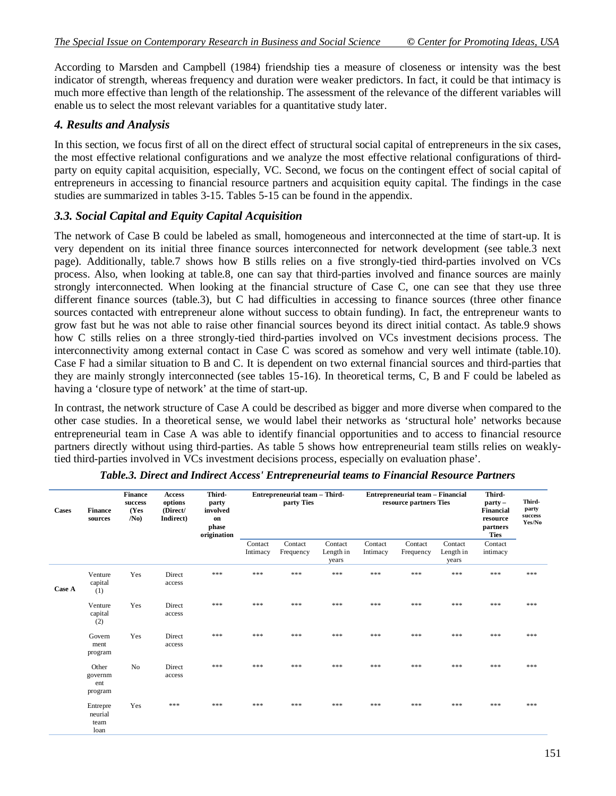According to Marsden and Campbell (1984) friendship ties a measure of closeness or intensity was the best indicator of strength, whereas frequency and duration were weaker predictors. In fact, it could be that intimacy is much more effective than length of the relationship. The assessment of the relevance of the different variables will enable us to select the most relevant variables for a quantitative study later.

## *4. Results and Analysis*

In this section, we focus first of all on the direct effect of structural social capital of entrepreneurs in the six cases, the most effective relational configurations and we analyze the most effective relational configurations of thirdparty on equity capital acquisition, especially, VC. Second, we focus on the contingent effect of social capital of entrepreneurs in accessing to financial resource partners and acquisition equity capital. The findings in the case studies are summarized in tables 3-15. Tables 5-15 can be found in the appendix.

## *3.3. Social Capital and Equity Capital Acquisition*

The network of Case B could be labeled as small, homogeneous and interconnected at the time of start-up. It is very dependent on its initial three finance sources interconnected for network development (see table.3 next page). Additionally, table.7 shows how B stills relies on a five strongly-tied third-parties involved on VCs process. Also, when looking at table.8, one can say that third-parties involved and finance sources are mainly strongly interconnected. When looking at the financial structure of Case C, one can see that they use three different finance sources (table.3), but C had difficulties in accessing to finance sources (three other finance sources contacted with entrepreneur alone without success to obtain funding). In fact, the entrepreneur wants to grow fast but he was not able to raise other financial sources beyond its direct initial contact. As table.9 shows how C stills relies on a three strongly-tied third-parties involved on VCs investment decisions process. The interconnectivity among external contact in Case C was scored as somehow and very well intimate (table.10). Case F had a similar situation to B and C. It is dependent on two external financial sources and third-parties that they are mainly strongly interconnected (see tables 15-16). In theoretical terms, C, B and F could be labeled as having a 'closure type of network' at the time of start-up.

In contrast, the network structure of Case A could be described as bigger and more diverse when compared to the other case studies. In a theoretical sense, we would label their networks as 'structural hole' networks because entrepreneurial team in Case A was able to identify financial opportunities and to access to financial resource partners directly without using third-parties. As table 5 shows how entrepreneurial team stills relies on weaklytied third-parties involved in VCs investment decisions process, especially on evaluation phase'.

| <b>Cases</b> | <b>Finance</b><br>sources           | <b>Finance</b><br>success<br>(Yes<br>/N <sub>0</sub> | Access<br>options<br>(Direct/<br>Indirect) | Third-<br>party<br>involved<br>on<br>phase<br>origination |                     | Entrepreneurial team - Third-<br>party Ties |                               | Entrepreneurial team - Financial<br>resource partners Ties |                      |                               | Third-<br>$party -$<br><b>Financial</b><br>resource<br>partners<br><b>Ties</b> | Third-<br>party<br>success<br>Yes/No |
|--------------|-------------------------------------|------------------------------------------------------|--------------------------------------------|-----------------------------------------------------------|---------------------|---------------------------------------------|-------------------------------|------------------------------------------------------------|----------------------|-------------------------------|--------------------------------------------------------------------------------|--------------------------------------|
|              |                                     |                                                      |                                            |                                                           | Contact<br>Intimacy | Contact<br>Frequency                        | Contact<br>Length in<br>years | Contact<br>Intimacy                                        | Contact<br>Frequency | Contact<br>Length in<br>years | Contact<br>intimacy                                                            |                                      |
| Case A       | Venture<br>capital<br>(1)           | Yes                                                  | Direct<br>access                           | ***                                                       | ***                 | ***                                         | ***                           | ***                                                        | ***                  | ***                           | ***                                                                            | ***                                  |
|              | Venture<br>capital<br>(2)           | Yes                                                  | Direct<br>access                           | ***                                                       | ***                 | ***                                         | ***                           | ***                                                        | ***                  | ***                           | ***                                                                            | ***                                  |
|              | Govern<br>ment<br>program           | Yes                                                  | Direct<br>access                           | ***                                                       | ***                 | ***                                         | ***                           | ***                                                        | ***                  | ***                           | ***                                                                            | ***                                  |
|              | Other<br>governm<br>ent<br>program  | No                                                   | Direct<br>access                           | ***                                                       | ***                 | ***                                         | ***                           | ***                                                        | ***                  | ***                           | ***                                                                            | ***                                  |
|              | Entrepre<br>neurial<br>team<br>loan | Yes                                                  | ***                                        | ***                                                       | ***                 | ***                                         | ***                           | ***                                                        | ***                  | ***                           | ***                                                                            | ***                                  |

| Table.3. Direct and Indirect Access' Entrepreneurial teams to Financial Resource Partners |  |
|-------------------------------------------------------------------------------------------|--|
|-------------------------------------------------------------------------------------------|--|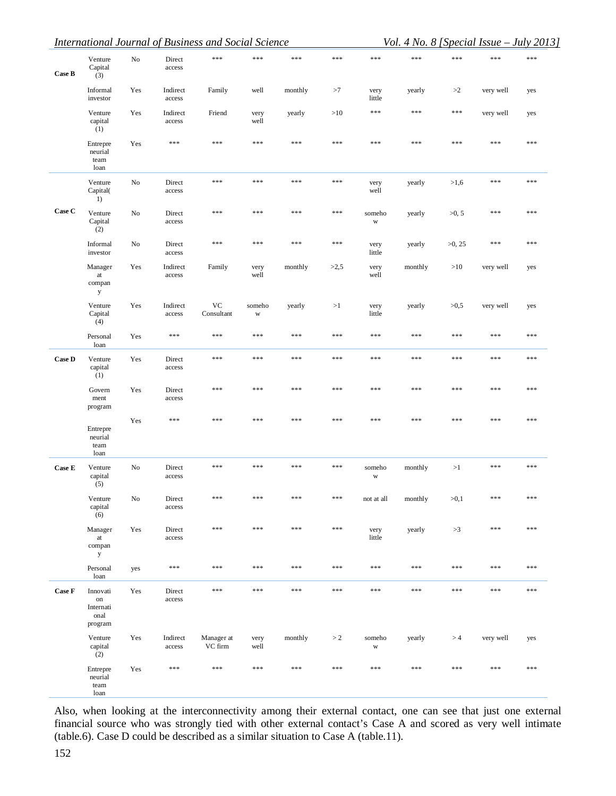|               |                                                         |     |                    | <b>International Journal of Business and Social Science</b> |                       |         |       |                       |         |           |           | Vol. 4 No. 8 [Special Issue - July 2013] |
|---------------|---------------------------------------------------------|-----|--------------------|-------------------------------------------------------------|-----------------------|---------|-------|-----------------------|---------|-----------|-----------|------------------------------------------|
| Case B        | Venture<br>Capital<br>(3)                               | No  | Direct<br>access   | $***$                                                       | $***$                 | ***     | $***$ | ***                   | ***     | ***       | ***       | $***$                                    |
|               | Informal<br>investor                                    | Yes | Indirect<br>access | Family                                                      | well                  | monthly | >7    | very<br>little        | yearly  | >2        | very well | yes                                      |
|               | Venture<br>capital<br>(1)                               | Yes | Indirect<br>access | Friend                                                      | very<br>well          | yearly  | >10   | $***$                 | ***     | ***       | very well | yes                                      |
|               | Entrepre<br>neurial<br>team<br>loan                     | Yes | $***$              | $***$                                                       | ***                   | ***     | $***$ | $***$                 | ***     | $***$     | ***       | $***$                                    |
|               | Venture<br>Capital(<br>1)                               | No  | Direct<br>access   | $***$                                                       | ***                   | ***     | $***$ | very<br>well          | yearly  | >1,6      | ***       | $***$                                    |
| Case C        | Venture<br>Capital<br>(2)                               | No  | Direct<br>access   | ***                                                         | $***$                 | ***     | $***$ | someho<br>W           | yearly  | >0, 5     | ***       | ***                                      |
|               | Informal<br>investor                                    | No  | Direct<br>access   | ***                                                         | ***                   | ***     | $***$ | very<br>little        | yearly  | $>0$ , 25 | ***       | ***                                      |
|               | Manager<br>at<br>compan<br>y                            | Yes | Indirect<br>access | Family                                                      | very<br>well          | monthly | >2,5  | very<br>well          | monthly | >10       | very well | yes                                      |
|               | Venture<br>Capital<br>(4)                               | Yes | Indirect<br>access | VC<br>Consultant                                            | someho<br>$\mathbf W$ | yearly  | >1    | very<br>little        | yearly  | >0,5      | very well | yes                                      |
|               | Personal<br>loan                                        | Yes | ***                | $***$                                                       | ***                   | ***     | $***$ | $***$                 | ***     | $***$     | ***       | $***$                                    |
| <b>Case D</b> | Venture<br>capital<br>(1)                               | Yes | Direct<br>access   | $***$                                                       | ***                   | ***     | $***$ | $***$                 | ***     | $***$     | ***       | $***$                                    |
|               | Govern<br>ment<br>program                               | Yes | Direct<br>access   | ***                                                         | $***$                 | ***     | ***   | $***$                 | ***     | $***$     | ***       | $***$                                    |
|               | Entrepre<br>neurial<br>team<br>loan                     | Yes | $***$              | ***                                                         | ***                   | ***     | $***$ | $***$                 | ***     | ***       | ***       | $***$                                    |
| Case E        | Venture<br>capital<br>(5)                               | No  | Direct<br>access   | ***                                                         | ***                   | ***     | $***$ | someho<br>$\mathbf W$ | monthly | >1        | ***       | $***$                                    |
|               | Venture<br>capital<br>(6)                               | No  | Direct<br>access   | ***                                                         | ***                   | ***     | $***$ | not at all            | monthly | >0,1      | ***       | ***                                      |
|               | Manager<br>$\operatorname{at}$<br>compan<br>$\mathbf y$ | Yes | Direct<br>access   | ***                                                         | ***                   | ***     | ***   | very<br>little        | yearly  | >3        | ***       | $***$                                    |
|               | Personal<br>loan                                        | yes | $***$              | $***$                                                       | $***$                 | ***     | $***$ | ***                   | ***     | $***$     | ***       | $***$                                    |
| Case F        | Innovati<br>$_{\rm on}$<br>Internati<br>onal<br>program | Yes | Direct<br>access   | $***$                                                       | $***$                 | ***     | $***$ | ***                   | ***     | $***$     | ***       | $***$                                    |
|               | Venture<br>capital<br>(2)                               | Yes | Indirect<br>access | Manager at<br>VC firm                                       | very<br>well          | monthly | >2    | someho<br>$\mathbf W$ | yearly  | >4        | very well | yes                                      |
|               | Entrepre<br>neurial<br>team<br>loan                     | Yes | $***$              | $***$                                                       | $***$                 | ***     | $***$ | ***                   | ***     | $***$     | ***       | $***$                                    |

Also, when looking at the interconnectivity among their external contact, one can see that just one external financial source who was strongly tied with other external contact's Case A and scored as very well intimate (table.6). Case D could be described as a similar situation to Case A (table.11).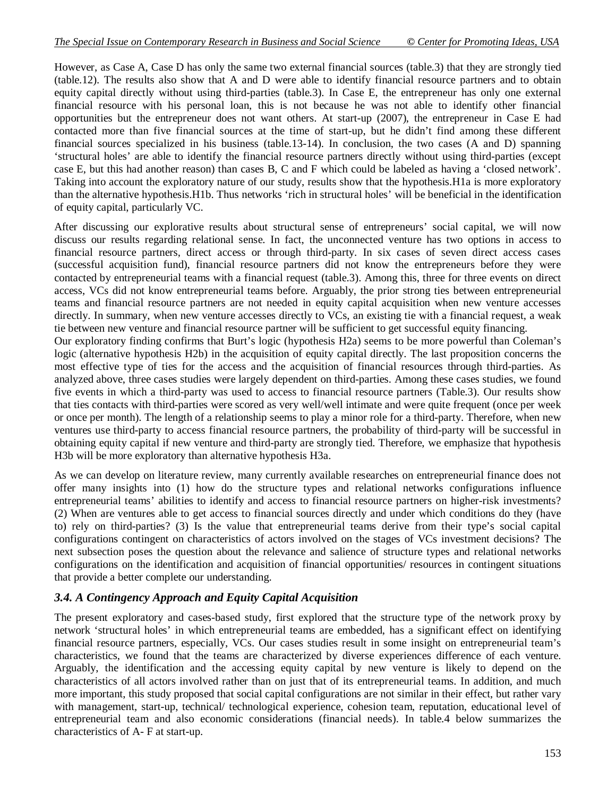However, as Case A, Case D has only the same two external financial sources (table.3) that they are strongly tied (table.12). The results also show that A and D were able to identify financial resource partners and to obtain equity capital directly without using third-parties (table.3). In Case E, the entrepreneur has only one external financial resource with his personal loan, this is not because he was not able to identify other financial opportunities but the entrepreneur does not want others. At start-up (2007), the entrepreneur in Case E had contacted more than five financial sources at the time of start-up, but he didn't find among these different financial sources specialized in his business (table.13-14). In conclusion, the two cases (A and D) spanning 'structural holes' are able to identify the financial resource partners directly without using third-parties (except case E, but this had another reason) than cases B, C and F which could be labeled as having a 'closed network'. Taking into account the exploratory nature of our study, results show that the hypothesis.H1a is more exploratory than the alternative hypothesis.H1b. Thus networks 'rich in structural holes' will be beneficial in the identification of equity capital, particularly VC.

After discussing our explorative results about structural sense of entrepreneurs' social capital, we will now discuss our results regarding relational sense. In fact, the unconnected venture has two options in access to financial resource partners, direct access or through third-party. In six cases of seven direct access cases (successful acquisition fund), financial resource partners did not know the entrepreneurs before they were contacted by entrepreneurial teams with a financial request (table.3). Among this, three for three events on direct access, VCs did not know entrepreneurial teams before. Arguably, the prior strong ties between entrepreneurial teams and financial resource partners are not needed in equity capital acquisition when new venture accesses directly. In summary, when new venture accesses directly to VCs, an existing tie with a financial request, a weak tie between new venture and financial resource partner will be sufficient to get successful equity financing.

Our exploratory finding confirms that Burt's logic (hypothesis H2a) seems to be more powerful than Coleman's logic (alternative hypothesis H2b) in the acquisition of equity capital directly. The last proposition concerns the most effective type of ties for the access and the acquisition of financial resources through third-parties. As analyzed above, three cases studies were largely dependent on third-parties. Among these cases studies, we found five events in which a third-party was used to access to financial resource partners (Table.3). Our results show that ties contacts with third-parties were scored as very well/well intimate and were quite frequent (once per week or once per month). The length of a relationship seems to play a minor role for a third-party. Therefore, when new ventures use third-party to access financial resource partners, the probability of third-party will be successful in obtaining equity capital if new venture and third-party are strongly tied. Therefore, we emphasize that hypothesis H3b will be more exploratory than alternative hypothesis H3a.

As we can develop on literature review, many currently available researches on entrepreneurial finance does not offer many insights into (1) how do the structure types and relational networks configurations influence entrepreneurial teams' abilities to identify and access to financial resource partners on higher-risk investments? (2) When are ventures able to get access to financial sources directly and under which conditions do they (have to) rely on third-parties? (3) Is the value that entrepreneurial teams derive from their type's social capital configurations contingent on characteristics of actors involved on the stages of VCs investment decisions? The next subsection poses the question about the relevance and salience of structure types and relational networks configurations on the identification and acquisition of financial opportunities/ resources in contingent situations that provide a better complete our understanding.

## *3.4. A Contingency Approach and Equity Capital Acquisition*

The present exploratory and cases-based study, first explored that the structure type of the network proxy by network 'structural holes' in which entrepreneurial teams are embedded, has a significant effect on identifying financial resource partners, especially, VCs. Our cases studies result in some insight on entrepreneurial team's characteristics, we found that the teams are characterized by diverse experiences difference of each venture. Arguably, the identification and the accessing equity capital by new venture is likely to depend on the characteristics of all actors involved rather than on just that of its entrepreneurial teams. In addition, and much more important, this study proposed that social capital configurations are not similar in their effect, but rather vary with management, start-up, technical/ technological experience, cohesion team, reputation, educational level of entrepreneurial team and also economic considerations (financial needs). In table.4 below summarizes the characteristics of A- F at start-up.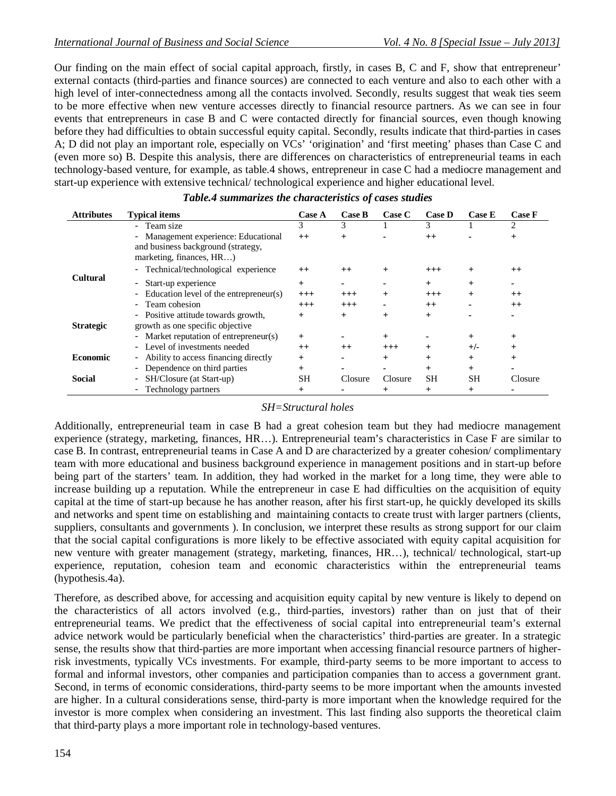Our finding on the main effect of social capital approach, firstly, in cases B, C and F, show that entrepreneur' external contacts (third-parties and finance sources) are connected to each venture and also to each other with a high level of inter-connectedness among all the contacts involved. Secondly, results suggest that weak ties seem to be more effective when new venture accesses directly to financial resource partners. As we can see in four events that entrepreneurs in case B and C were contacted directly for financial sources, even though knowing before they had difficulties to obtain successful equity capital. Secondly, results indicate that third-parties in cases A; D did not play an important role, especially on VCs' 'origination' and 'first meeting' phases than Case C and (even more so) B. Despite this analysis, there are differences on characteristics of entrepreneurial teams in each technology-based venture, for example, as table.4 shows, entrepreneur in case C had a mediocre management and start-up experience with extensive technical/ technological experience and higher educational level.

| <b>Attributes</b> | <b>Typical items</b>                     | <b>Case A</b> | <b>Case B</b> | Case C          | <b>Case D</b> | <b>Case E</b> | <b>Case F</b> |
|-------------------|------------------------------------------|---------------|---------------|-----------------|---------------|---------------|---------------|
|                   | - Team size                              | 3             | 3             |                 | 3             |               | 2             |
|                   | - Management experience: Educational     | $++$          |               |                 | $++$          |               | $\pm$         |
|                   | and business background (strategy,       |               |               |                 |               |               |               |
|                   | marketing, finances, HR)                 |               |               |                 |               |               |               |
|                   | - Technical/technological experience     | $^{++}$       | $^{++}$       | $\ddot{}$       | $^{+++}$      | $\,{}^+$      | $^{++}$       |
| <b>Cultural</b>   | - Start-up experience                    | $^{+}$        |               |                 | $+$           | $^{+}$        |               |
|                   | - Education level of the entrepreneur(s) | $^{+++}$      | $^{+++}$      | $^{+}$          | $^{+++}$      | $\ddot{}$     | $^{++}$       |
|                   | - Team cohesion                          | $^{+++}$      | $^{+++}$      |                 | $++$          |               | $^{++}$       |
|                   | - Positive attitude towards growth,      | $^{+}$        | $^{+}$        | $^{+}$          | $^{+}$        |               |               |
| <b>Strategic</b>  | growth as one specific objective         |               |               |                 |               |               |               |
|                   | - Market reputation of entrepreneur(s)   | $^{+}$        |               | $^{+}$          |               | $\pm$         | $^{+}$        |
|                   | - Level of investments needed            | $++$          | $^{++}$       | $^{+++}$        | $\hbox{ }$    | $+/-$         | $^{+}$        |
| <b>Economic</b>   | - Ability to access financing directly   | $^{+}$        |               | $^{+}$          | $^{+}$        | $^{+}$        | $^{+}$        |
|                   | - Dependence on third parties            | $^{+}$        |               |                 | $+$           | $^{+}$        |               |
| <b>Social</b>     | - SH/Closure (at Start-up)               | <b>SH</b>     | Closure       | Closure         | <b>SH</b>     | <b>SH</b>     | Closure       |
|                   | - Technology partners                    | $^{+}$        |               | $^{\mathrm{+}}$ | $\pm$         | $\pm$         |               |

### *Table.4 summarizes the characteristics of cases studies*

#### *SH=Structural holes*

Additionally, entrepreneurial team in case B had a great cohesion team but they had mediocre management experience (strategy, marketing, finances, HR…). Entrepreneurial team's characteristics in Case F are similar to case B. In contrast, entrepreneurial teams in Case A and D are characterized by a greater cohesion/ complimentary team with more educational and business background experience in management positions and in start-up before being part of the starters' team. In addition, they had worked in the market for a long time, they were able to increase building up a reputation. While the entrepreneur in case E had difficulties on the acquisition of equity capital at the time of start-up because he has another reason, after his first start-up, he quickly developed its skills and networks and spent time on establishing and maintaining contacts to create trust with larger partners (clients, suppliers, consultants and governments ). In conclusion, we interpret these results as strong support for our claim that the social capital configurations is more likely to be effective associated with equity capital acquisition for new venture with greater management (strategy, marketing, finances, HR…), technical/ technological, start-up experience, reputation, cohesion team and economic characteristics within the entrepreneurial teams (hypothesis.4a).

Therefore, as described above, for accessing and acquisition equity capital by new venture is likely to depend on the characteristics of all actors involved (e.g., third-parties, investors) rather than on just that of their entrepreneurial teams. We predict that the effectiveness of social capital into entrepreneurial team's external advice network would be particularly beneficial when the characteristics' third-parties are greater. In a strategic sense, the results show that third-parties are more important when accessing financial resource partners of higherrisk investments, typically VCs investments. For example, third-party seems to be more important to access to formal and informal investors, other companies and participation companies than to access a government grant. Second, in terms of economic considerations, third-party seems to be more important when the amounts invested are higher. In a cultural considerations sense, third-party is more important when the knowledge required for the investor is more complex when considering an investment. This last finding also supports the theoretical claim that third-party plays a more important role in technology-based ventures.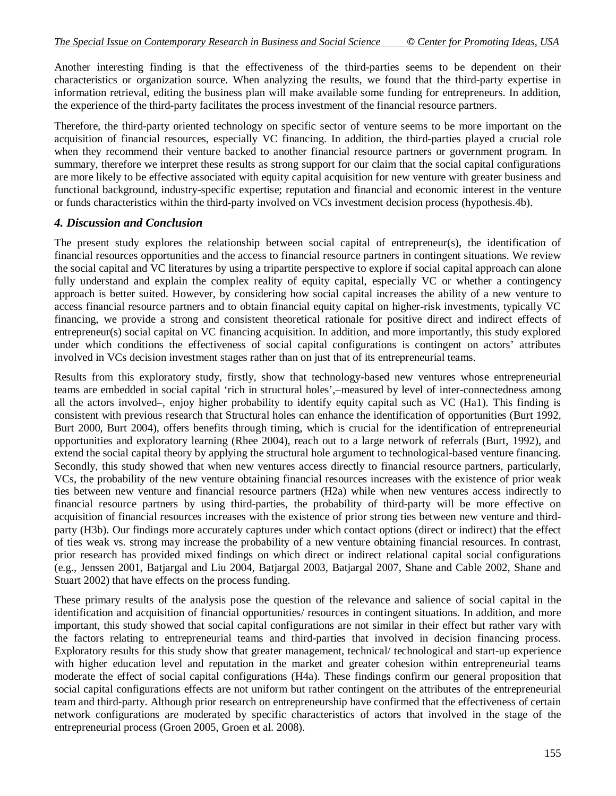Another interesting finding is that the effectiveness of the third-parties seems to be dependent on their characteristics or organization source. When analyzing the results, we found that the third-party expertise in information retrieval, editing the business plan will make available some funding for entrepreneurs. In addition, the experience of the third-party facilitates the process investment of the financial resource partners.

Therefore, the third-party oriented technology on specific sector of venture seems to be more important on the acquisition of financial resources, especially VC financing. In addition, the third-parties played a crucial role when they recommend their venture backed to another financial resource partners or government program. In summary, therefore we interpret these results as strong support for our claim that the social capital configurations are more likely to be effective associated with equity capital acquisition for new venture with greater business and functional background, industry-specific expertise; reputation and financial and economic interest in the venture or funds characteristics within the third-party involved on VCs investment decision process (hypothesis.4b).

## *4. Discussion and Conclusion*

The present study explores the relationship between social capital of entrepreneur(s), the identification of financial resources opportunities and the access to financial resource partners in contingent situations. We review the social capital and VC literatures by using a tripartite perspective to explore if social capital approach can alone fully understand and explain the complex reality of equity capital, especially VC or whether a contingency approach is better suited. However, by considering how social capital increases the ability of a new venture to access financial resource partners and to obtain financial equity capital on higher-risk investments, typically VC financing, we provide a strong and consistent theoretical rationale for positive direct and indirect effects of entrepreneur(s) social capital on VC financing acquisition. In addition, and more importantly, this study explored under which conditions the effectiveness of social capital configurations is contingent on actors' attributes involved in VCs decision investment stages rather than on just that of its entrepreneurial teams.

Results from this exploratory study, firstly, show that technology-based new ventures whose entrepreneurial teams are embedded in social capital 'rich in structural holes',–measured by level of inter-connectedness among all the actors involved–, enjoy higher probability to identify equity capital such as VC (Ha1). This finding is consistent with previous research that Structural holes can enhance the identification of opportunities (Burt 1992, Burt 2000, Burt 2004), offers benefits through timing, which is crucial for the identification of entrepreneurial opportunities and exploratory learning (Rhee 2004), reach out to a large network of referrals (Burt, 1992), and extend the social capital theory by applying the structural hole argument to technological-based venture financing. Secondly, this study showed that when new ventures access directly to financial resource partners, particularly, VCs, the probability of the new venture obtaining financial resources increases with the existence of prior weak ties between new venture and financial resource partners (H2a) while when new ventures access indirectly to financial resource partners by using third-parties, the probability of third-party will be more effective on acquisition of financial resources increases with the existence of prior strong ties between new venture and thirdparty (H3b). Our findings more accurately captures under which contact options (direct or indirect) that the effect of ties weak vs. strong may increase the probability of a new venture obtaining financial resources. In contrast, prior research has provided mixed findings on which direct or indirect relational capital social configurations (e.g., Jenssen 2001, Batjargal and Liu 2004, Batjargal 2003, Batjargal 2007, Shane and Cable 2002, Shane and Stuart 2002) that have effects on the process funding.

These primary results of the analysis pose the question of the relevance and salience of social capital in the identification and acquisition of financial opportunities/ resources in contingent situations. In addition, and more important, this study showed that social capital configurations are not similar in their effect but rather vary with the factors relating to entrepreneurial teams and third-parties that involved in decision financing process. Exploratory results for this study show that greater management, technical/ technological and start-up experience with higher education level and reputation in the market and greater cohesion within entrepreneurial teams moderate the effect of social capital configurations (H4a). These findings confirm our general proposition that social capital configurations effects are not uniform but rather contingent on the attributes of the entrepreneurial team and third-party. Although prior research on entrepreneurship have confirmed that the effectiveness of certain network configurations are moderated by specific characteristics of actors that involved in the stage of the entrepreneurial process (Groen 2005, Groen et al. 2008).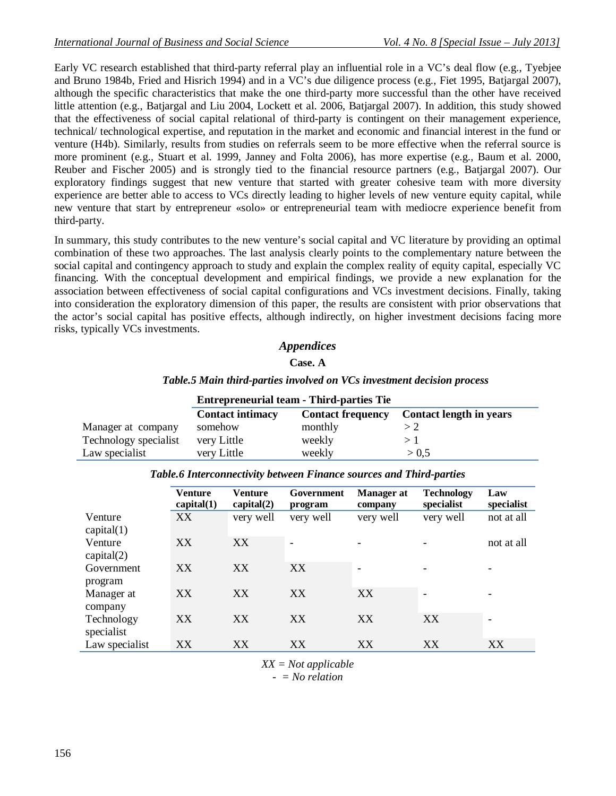Early VC research established that third-party referral play an influential role in a VC's deal flow (e.g., Tyebjee and Bruno 1984b, Fried and Hisrich 1994) and in a VC's due diligence process (e.g., Fiet 1995, Batjargal 2007), although the specific characteristics that make the one third-party more successful than the other have received little attention (e.g., Batjargal and Liu 2004, Lockett et al. 2006, Batjargal 2007). In addition, this study showed that the effectiveness of social capital relational of third-party is contingent on their management experience, technical/ technological expertise, and reputation in the market and economic and financial interest in the fund or venture (H4b). Similarly, results from studies on referrals seem to be more effective when the referral source is more prominent (e.g., Stuart et al. 1999, Janney and Folta 2006), has more expertise (e.g., Baum et al. 2000, Reuber and Fischer 2005) and is strongly tied to the financial resource partners (e.g., Batjargal 2007). Our exploratory findings suggest that new venture that started with greater cohesive team with more diversity experience are better able to access to VCs directly leading to higher levels of new venture equity capital, while new venture that start by entrepreneur «solo» or entrepreneurial team with mediocre experience benefit from third-party.

In summary, this study contributes to the new venture's social capital and VC literature by providing an optimal combination of these two approaches. The last analysis clearly points to the complementary nature between the social capital and contingency approach to study and explain the complex reality of equity capital, especially VC financing. With the conceptual development and empirical findings, we provide a new explanation for the association between effectiveness of social capital configurations and VCs investment decisions. Finally, taking into consideration the exploratory dimension of this paper, the results are consistent with prior observations that the actor's social capital has positive effects, although indirectly, on higher investment decisions facing more risks, typically VCs investments.

### *Appendices*

**Case. A**

### *Table.5 Main third-parties involved on VCs investment decision process*

|                       |                         | <b>Entrepreneurial team - Third-parties Tie</b> |                                |  |  |  |  |  |  |
|-----------------------|-------------------------|-------------------------------------------------|--------------------------------|--|--|--|--|--|--|
|                       | <b>Contact intimacy</b> | <b>Contact frequency</b>                        | <b>Contact length in years</b> |  |  |  |  |  |  |
| Manager at company    | somehow                 | monthly                                         |                                |  |  |  |  |  |  |
| Technology specialist | very Little             | weekly                                          |                                |  |  |  |  |  |  |
| Law specialist        | very Little             | weekly                                          | > 0.5                          |  |  |  |  |  |  |

|                          | Venture<br>capital(1) | <b>Venture</b><br>capital(2) | Government<br>program | <b>Manager</b> at<br>company | <b>Technology</b><br>specialist | Law<br>specialist |
|--------------------------|-----------------------|------------------------------|-----------------------|------------------------------|---------------------------------|-------------------|
| Venture<br>capital(1)    | XX                    | very well                    | very well             | very well                    | very well                       | not at all        |
| Venture<br>capital(2)    | XX                    | XX                           |                       |                              |                                 | not at all        |
| Government<br>program    | XX                    | XX                           | XX                    |                              |                                 |                   |
| Manager at<br>company    | XX                    | XX                           | XX                    | XX                           |                                 | -                 |
| Technology<br>specialist | XX                    | XX                           | XX                    | XX                           | XX                              |                   |
| Law specialist           | XX                    | XX                           | XX                    | XX                           | XX                              | XX                |

#### *Table.6 Interconnectivity between Finance sources and Third-parties*

*XX = Not applicable*

*- = No relation*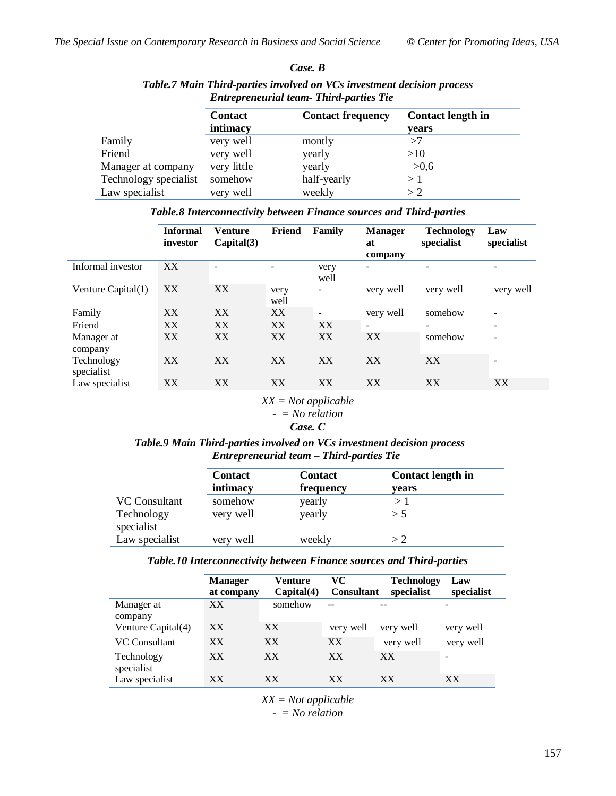|                       | Entrepreneurau team- Thua-parties Tie |                          |                                   |  |  |  |  |
|-----------------------|---------------------------------------|--------------------------|-----------------------------------|--|--|--|--|
|                       | <b>Contact</b><br>intimacy            | <b>Contact frequency</b> | <b>Contact length in</b><br>years |  |  |  |  |
| Family                | very well                             | montly                   | >7                                |  |  |  |  |
| Friend                | very well                             | yearly                   | >10                               |  |  |  |  |
| Manager at company    | very little                           | yearly                   | >0,6                              |  |  |  |  |
| Technology specialist | somehow                               | half-yearly              | >1                                |  |  |  |  |
| Law specialist        | very well                             | weekly                   | >2                                |  |  |  |  |

## *Case. B*

*Table.7 Main Third-parties involved on VCs investment decision process Entrepreneurial team- Third-parties Tie*

|  | Table.8 Interconnectivity between Finance sources and Third-parties |  |
|--|---------------------------------------------------------------------|--|
|  |                                                                     |  |

|                          | <b>Informal</b><br>investor | <b>Venture</b><br>Capital(3) | Friend       | Family       | <b>Manager</b><br>at<br>company | Technology<br>specialist | Law<br>specialist        |
|--------------------------|-----------------------------|------------------------------|--------------|--------------|---------------------------------|--------------------------|--------------------------|
| Informal investor        | XX                          |                              |              | very<br>well | $\overline{\phantom{a}}$        |                          | -                        |
| Venture Capital(1)       | XX                          | XX                           | very<br>well |              | very well                       | very well                | very well                |
| Family                   | XX                          | XX                           | XX           |              | very well                       | somehow                  | $\overline{\phantom{a}}$ |
| Friend                   | XX                          | XX                           | XX           | XX           | $\overline{\phantom{a}}$        | $\overline{\phantom{0}}$ | $\overline{\phantom{a}}$ |
| Manager at<br>company    | XX                          | XX                           | XX           | XX           | XX                              | somehow                  | $\overline{\phantom{a}}$ |
| Technology<br>specialist | XX                          | XX                           | XX           | XX           | XX                              | XX                       | $\overline{\phantom{0}}$ |
| Law specialist           | XX                          | XX                           | XX           | XX           | XX                              | XX                       | XX                       |

#### *XX = Not applicable - = No relation*

## *Case. C*

### *Table.9 Main Third-parties involved on VCs investment decision process Entrepreneurial team – Third-parties Tie*

|                                           | <b>Contact</b><br>intimacy | <b>Contact</b><br>frequency | <b>Contact length in</b><br>years |
|-------------------------------------------|----------------------------|-----------------------------|-----------------------------------|
| VC Consultant<br>Technology<br>specialist | somehow<br>very well       | yearly<br>yearly            | >1<br>> 5                         |
| Law specialist                            | very well                  | weekly                      | > 2                               |

#### *Table.10 Interconnectivity between Finance sources and Third-parties*

|                          | <b>Manager</b><br>at company | <b>Venture</b><br>Capital(4) | VC<br><b>Consultant</b> | <b>Technology</b><br>specialist | Law<br>specialist |
|--------------------------|------------------------------|------------------------------|-------------------------|---------------------------------|-------------------|
| Manager at               | XX                           | somehow                      |                         |                                 | -                 |
| company                  |                              |                              |                         |                                 |                   |
| Venture Capital(4)       | XX                           | XX                           | very well               | very well                       | very well         |
| <b>VC Consultant</b>     | XX                           | XX                           | XX                      | very well                       | very well         |
| Technology<br>specialist | XX                           | XX                           | XX                      | XX                              |                   |
| Law specialist           | XX                           | XX                           | XX                      | XX                              | XX                |

*XX = Not applicable - = No relation*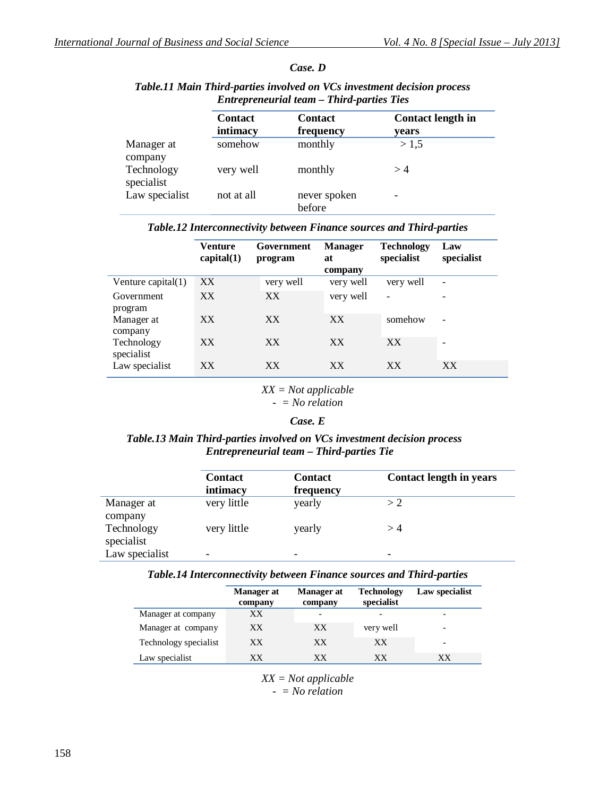|                          | Entrepreneuriai team – Inira-parties Ties |                             |                                   |  |  |
|--------------------------|-------------------------------------------|-----------------------------|-----------------------------------|--|--|
|                          | <b>Contact</b><br>intimacy                | <b>Contact</b><br>frequency | <b>Contact length in</b><br>years |  |  |
| Manager at<br>company    | somehow                                   | monthly                     | > 1.5                             |  |  |
| Technology<br>specialist | very well                                 | monthly                     | >4                                |  |  |
| Law specialist           | not at all                                | never spoken<br>before      |                                   |  |  |

### *Case. D*

### *Table.11 Main Third-parties involved on VCs investment decision process Entrepreneurial team – Third-parties Ties*

#### *Table.12 Interconnectivity between Finance sources and Third-parties*

|                          | <b>Venture</b><br>capital(1) | Government<br>program | <b>Manager</b><br>at<br>company | <b>Technology</b><br>specialist | Law<br>specialist        |
|--------------------------|------------------------------|-----------------------|---------------------------------|---------------------------------|--------------------------|
| Venture capital $(1)$    | XX                           | very well             | very well                       | very well                       | $\overline{\phantom{a}}$ |
| Government<br>program    | XX                           | XX                    | very well                       |                                 | $\overline{\phantom{0}}$ |
| Manager at<br>company    | XX                           | XX <sup>1</sup>       | XX                              | somehow                         | $\overline{\phantom{a}}$ |
| Technology<br>specialist | XX                           | XX                    | XX                              | XX                              |                          |
| Law specialist           | XX                           | XX                    | XX                              | XX                              | XX                       |

### *XX = Not applicable*

*- = No relation*

#### *Case. E*

### *Table.13 Main Third-parties involved on VCs investment decision process Entrepreneurial team – Third-parties Tie*

|                                     | <b>Contact</b><br>intimacy | <b>Contact</b><br>frequency | <b>Contact length in years</b> |
|-------------------------------------|----------------------------|-----------------------------|--------------------------------|
| Manager at                          | very little                | yearly                      | >2                             |
| company<br>Technology<br>specialist | very little                | yearly                      | >4                             |
| Law specialist                      | -                          | -                           | -                              |

#### *Table.14 Interconnectivity between Finance sources and Third-parties*

|                       | Manager at<br>company | <b>Manager</b> at<br>company | <b>Technology</b><br>specialist | Law specialist           |
|-----------------------|-----------------------|------------------------------|---------------------------------|--------------------------|
| Manager at company    | XX                    |                              |                                 |                          |
| Manager at company    | XX                    | XX                           | very well                       | $\overline{\phantom{a}}$ |
| Technology specialist | XX                    | XX                           | XX                              | $\overline{\phantom{0}}$ |
| Law specialist        | XХ                    | XХ                           | XХ                              | XX                       |

*XX = Not applicable*

*- = No relation*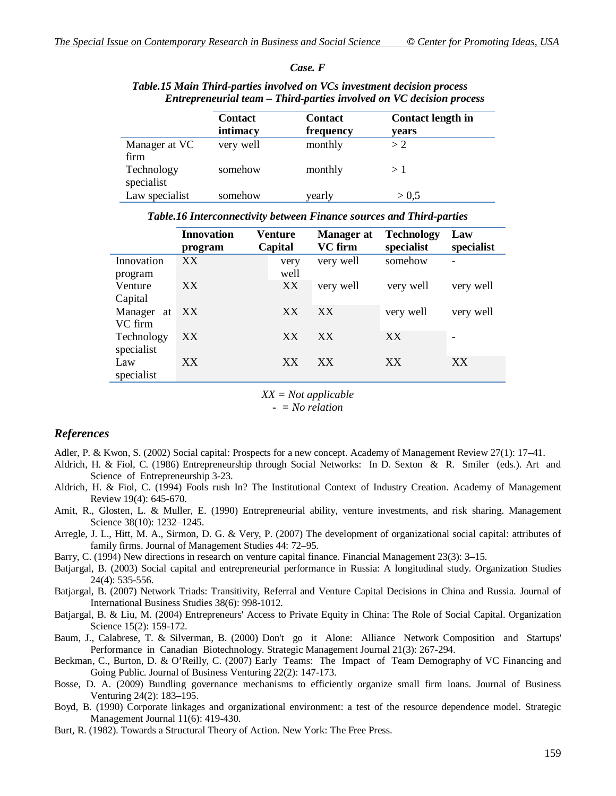*Case. F*

|                          | <b>Contact</b><br>intimacy | <b>Contact</b><br>frequency | <b>Contact length in</b><br>years |
|--------------------------|----------------------------|-----------------------------|-----------------------------------|
| Manager at VC<br>firm    | very well                  | monthly                     | > 2                               |
| Technology<br>specialist | somehow                    | monthly                     | >1                                |
| Law specialist           | somehow                    | yearly                      | > 0.5                             |

### *Table.15 Main Third-parties involved on VCs investment decision process Entrepreneurial team – Third-parties involved on VC decision process*

*Table.16 Interconnectivity between Finance sources and Third-parties*

|            | <b>Innovation</b><br>program | Venture<br>Capital | <b>Manager</b> at<br><b>VC</b> firm | <b>Technology</b><br>specialist | Law<br>specialist |
|------------|------------------------------|--------------------|-------------------------------------|---------------------------------|-------------------|
| Innovation | XX                           | very               | very well                           | somehow                         |                   |
| program    |                              | well               |                                     |                                 |                   |
| Venture    | XX                           | XX                 | very well                           | very well                       | very well         |
| Capital    |                              |                    |                                     |                                 |                   |
| Manager at | XX                           | XX                 | XX                                  | very well                       | very well         |
| VC firm    |                              |                    |                                     |                                 |                   |
| Technology | XX                           | XX                 | XX                                  | XX.                             |                   |
| specialist |                              |                    |                                     |                                 |                   |
| Law        | XX                           | XX                 | XX                                  | XX                              | XX                |
| specialist |                              |                    |                                     |                                 |                   |
|            |                              |                    |                                     |                                 |                   |

*XX = Not applicable*

*- = No relation*

### *References*

- Adler, P. & Kwon, S. (2002) Social capital: Prospects for a new concept. Academy of Management Review 27(1): 17–41.
- Aldrich, H. & Fiol, C. (1986) Entrepreneurship through Social Networks: In D. Sexton & R. Smiler (eds.). Art and Science of Entrepreneurship 3-23.
- Aldrich, H. & Fiol, C. (1994) Fools rush In? The Institutional Context of Industry Creation. Academy of Management Review 19(4): 645-670.
- Amit, R., Glosten, L. & Muller, E. (1990) Entrepreneurial ability, venture investments, and risk sharing. Management Science 38(10): 1232–1245.
- Arregle, J. L., Hitt, M. A., Sirmon, D. G. & Very, P. (2007) The development of organizational social capital: attributes of family firms. Journal of Management Studies 44: 72–95.

Barry, C. (1994) New directions in research on venture capital finance. Financial Management 23(3): 3–15.

- Batjargal, B. (2003) Social capital and entrepreneurial performance in Russia: A longitudinal study. Organization Studies 24(4): 535-556.
- Batjargal, B. (2007) Network Triads: Transitivity, Referral and Venture Capital Decisions in China and Russia. Journal of International Business Studies 38(6): 998-1012.
- Batjargal, B. & Liu, M. (2004) Entrepreneurs' Access to Private Equity in China: The Role of Social Capital. Organization Science 15(2): 159-172.

Baum, J., Calabrese, T. & Silverman, B. (2000) Don't go it Alone: Alliance Network Composition and Startups' Performance in Canadian Biotechnology. Strategic Management Journal 21(3): 267-294.

- Beckman, C., Burton, D. & O'Reilly, C. (2007) Early Teams: The Impact of Team Demography of VC Financing and Going Public. Journal of Business Venturing 22(2): 147-173.
- Bosse, D. A. (2009) Bundling governance mechanisms to efficiently organize small firm loans. Journal of Business Venturing 24(2): 183–195.
- Boyd, B. (1990) Corporate linkages and organizational environment: a test of the resource dependence model. Strategic Management Journal 11(6): 419-430.
- Burt, R. (1982). Towards a Structural Theory of Action. New York: The Free Press.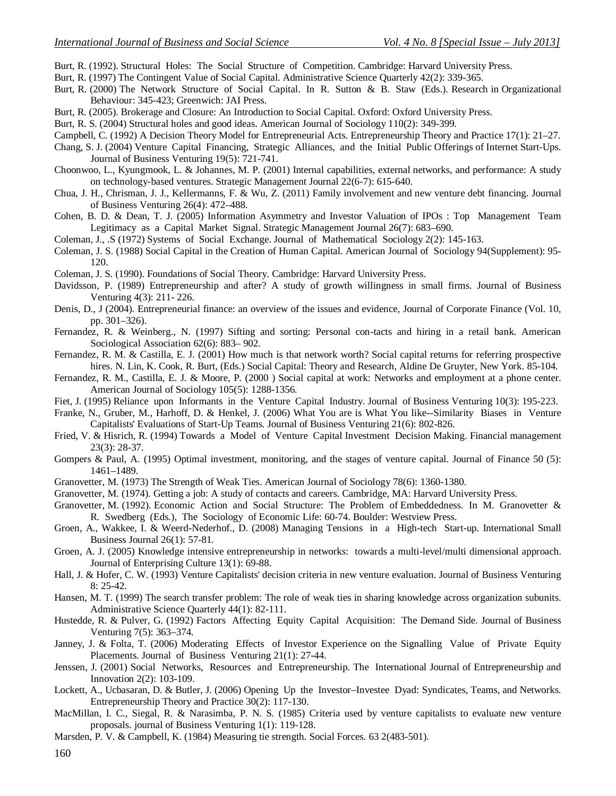- Burt, R. (1992). Structural Holes: The Social Structure of Competition. Cambridge: Harvard University Press.
- Burt, R. (1997) The Contingent Value of Social Capital. Administrative Science Quarterly 42(2): 339-365.
- Burt, R. (2000) The Network Structure of Social Capital. In R. Sutton & B. Staw (Eds.). Research in Organizational Behaviour: 345-423; Greenwich: JAI Press.
- Burt, R. (2005). Brokerage and Closure: An Introduction to Social Capital. Oxford: Oxford University Press.
- Burt, R. S. (2004) Structural holes and good ideas. American Journal of Sociology 110(2): 349-399.
- Campbell, C. (1992) A Decision Theory Model for Entrepreneurial Acts. Entrepreneurship Theory and Practice 17(1): 21–27.
- Chang, S. J. (2004) Venture Capital Financing, Strategic Alliances, and the Initial Public Offerings of Internet Start-Ups. Journal of Business Venturing 19(5): 721-741.
- Choonwoo, L., Kyungmook, L. & Johannes, M. P. (2001) Internal capabilities, external networks, and performance: A study on technology-based ventures. Strategic Management Journal 22(6-7): 615-640.
- Chua, J. H., Chrisman, J. J., Kellermanns, F. & Wu, Z. (2011) Family involvement and new venture debt financing. Journal of Business Venturing 26(4): 472–488.
- Cohen, B. D. & Dean, T. J. (2005) Information Asymmetry and Investor Valuation of IPOs : Top Management Team Legitimacy as a Capital Market Signal. Strategic Management Journal 26(7): 683–690.
- Coleman, J., .S (1972) Systems of Social Exchange. Journal of Mathematical Sociology 2(2): 145-163.
- Coleman, J. S. (1988) Social Capital in the Creation of Human Capital. American Journal of Sociology 94(Supplement): 95- 120.
- Coleman, J. S. (1990). Foundations of Social Theory. Cambridge: Harvard University Press.
- Davidsson, P. (1989) Entrepreneurship and after? A study of growth willingness in small firms. Journal of Business Venturing 4(3): 211- 226.
- Denis, D., J (2004). Entrepreneurial finance: an overview of the issues and evidence, Journal of Corporate Finance (Vol. 10, pp. 301–326).
- Fernandez, R. & Weinberg., N. (1997) Sifting and sorting: Personal con-tacts and hiring in a retail bank. American Sociological Association 62(6): 883– 902.
- Fernandez, R. M. & Castilla, E. J. (2001) How much is that network worth? Social capital returns for referring prospective hires. N. Lin, K. Cook, R. Burt, (Eds.) Social Capital: Theory and Research, Aldine De Gruyter, New York. 85-104.
- Fernandez, R. M., Castilla, E. J. & Moore, P. (2000 ) Social capital at work: Networks and employment at a phone center. American Journal of Sociology 105(5): 1288-1356.
- Fiet, J. (1995) Reliance upon Informants in the Venture Capital Industry. Journal of Business Venturing 10(3): 195-223.
- Franke, N., Gruber, M., Harhoff, D. & Henkel, J. (2006) What You are is What You like--Similarity Biases in Venture Capitalists' Evaluations of Start-Up Teams. Journal of Business Venturing 21(6): 802-826.
- Fried, V. & Hisrich, R. (1994) Towards a Model of Venture Capital Investment Decision Making. Financial management 23(3): 28-37.
- Gompers & Paul, A. (1995) Optimal investment, monitoring, and the stages of venture capital. Journal of Finance 50 (5): 1461–1489.
- Granovetter, M. (1973) The Strength of Weak Ties. American Journal of Sociology 78(6): 1360-1380.
- Granovetter, M. (1974). Getting a job: A study of contacts and careers. Cambridge, MA: Harvard University Press.
- Granovetter, M. (1992). Economic Action and Social Structure: The Problem of Embeddedness. In M. Granovetter & R. Swedberg (Eds.), The Sociology of Economic Life: 60-74. Boulder: Westview Press.
- Groen, A., Wakkee, I. & Weerd-Nederhof., D. (2008) Managing Tensions in a High-tech Start-up. International Small Business Journal 26(1): 57-81.
- Groen, A. J. (2005) Knowledge intensive entrepreneurship in networks: towards a multi-level/multi dimensional approach. Journal of Enterprising Culture 13(1): 69-88.
- Hall, J. & Hofer, C. W. (1993) Venture Capitalists' decision criteria in new venture evaluation. Journal of Business Venturing 8: 25-42.
- Hansen, M. T. (1999) The search transfer problem: The role of weak ties in sharing knowledge across organization subunits. Administrative Science Quarterly 44(1): 82-111.
- Hustedde, R. & Pulver, G. (1992) Factors Affecting Equity Capital Acquisition: The Demand Side. Journal of Business Venturing 7(5): 363–374.
- Janney, J. & Folta, T. (2006) Moderating Effects of Investor Experience on the Signalling Value of Private Equity Placements. Journal of Business Venturing 21(1): 27-44.
- Jenssen, J. (2001) Social Networks, Resources and Entrepreneurship. The International Journal of Entrepreneurship and Innovation 2(2): 103-109.
- Lockett, A., Ucbasaran, D. & Butler, J. (2006) Opening Up the Investor–Investee Dyad: Syndicates, Teams, and Networks. Entrepreneurship Theory and Practice 30(2): 117-130.
- MacMillan, I. C., Siegal, R. & Narasimba, P. N. S. (1985) Criteria used by venture capitalists to evaluate new venture proposals. journal of Business Venturing 1(1): 119-128.
- Marsden, P. V. & Campbell, K. (1984) Measuring tie strength. Social Forces. 63 2(483-501).